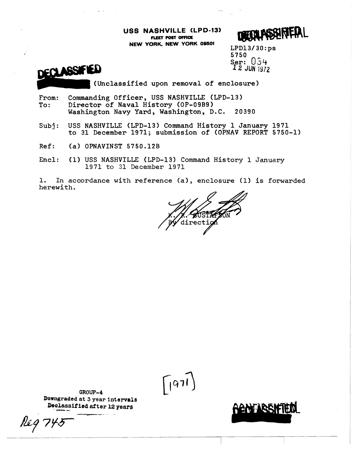**USS NASHVILLE CLPD-131 FLEET POST OFFICE** 

HRIEDI

**NEW YORK. NEW YORK 09501** LPD13/30:ps Ser:  $034$ **1 2 JUN I972** 



(Unclassified upon removal of enclosure)

- From: Commanding Officer, USS NASHVILLE (LPD-13)<br>To: Director of Naval History (OP-09B9) Director of Naval History (OP-09B9) Washington Navy Yard, Washington, D.C. 20390
- Subj: USS NASHVILLE (LPD-13) Command History 1 January 1971 to 31 December 1971; submission of (OPNAV REPORT 5750-1)
- Ref: **(a)** OPNAVINST 5750.12B
- Encl: **(1)** USS NASHVILLE (LPD-13) Command History 1 January 1971 to 31 December 1971

1. In accordance with reference (a), enclosure (1) is forwarded herewith.

**AUST** lirectio

 $\left(971\right)$ 

GROUP-4 Downgraded at 3 year intervals Declassified after 12 years

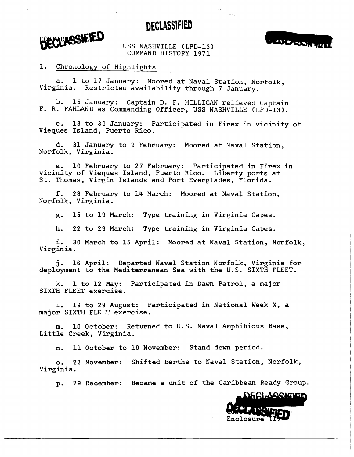DECLASSIFIED



USS NASHVILLE (LPD-13) COMMAND HISTORY 1971



1. Chronology of Highlights

a. 1 to 17 January: Moored at Naval Station, Norfolk, Virginia. Restricted availability through 7 January.

b. 15 January: Captain D. F. MILLIGAN relieved Captain F. R. FAHLAND as Commanding Officer, USS NASHVILLE (LPD-13).

c. 18 to 30 January: Participated in Firex in vicinity of Vieques Island, Puerto Rico.

d. 31 January to 9 February: Moored at Naval Station, Norfolk, Virginia.

e. 10 February to 27 February: Participated in Firex in vicinity of Vieques Island, Puerto Rico. Liberty ports at St. Thomas, Virgin Islands and Port Everglades, Florida.

f. 28 February to 14 March: Moored at Naval Station, Norfolk, Virginia.

g. 15 to 19 March: Type training in Virginia Capes.

h. 22 to 29 March: Type training in Virginia Capes.

i. 30 March to 15 April: Moored at Naval Station, Norfolk, Virginia.

**j.** 16 April: Departed Naval Station Norfolk, Virginia for deployment to the Mediterranean Sea with the **U.S.** SIXTH FLEET.

k. 1 to 12 May: Participated in Dawn Patrol, a major SIXTH FLEET exercise.

1. 19 to 29 August: Participated in National Week X, a major SIXTH FLEET exercise.

**m.** 10 October: Returned to U.S. Naval Amphibious **Base,**  Little Creek, Virginia.

n. 11 October to 10 November: Stand down period,

**o.** 22 November: Shifted berths to Naval Station, Norfolk, Virginia.

**p.** 29 December: Became a unit of the Caribbean Ready Group.

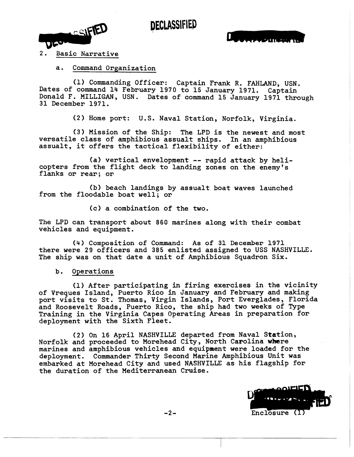## **DECLASSIFIED**

CSIFIED **VISSING** 

## 2. Basic Narrative

a. Command Organization

(1) Commanding Officer: Captain Frank R. FAHLAND, USN. Dates of command 14 February 1970 to 15 January 1971. Captain<br>Donald F. MILLIGAN, USN. Dates of command 15 January 1971 through 31 December 1971.

**(2)** Home port: U.S. Naval Station, Norfolk, Virginia.

**(3)** Mission of the Ship: The LPD is the newest and most versatile class of amphibious assualt ships, In an amphibious assualt, it offers the tactical flexibility of either:

(a) vertical envelopment -- rapid attack by helicopters from the flight deck to landing zones on the enemy's flanks or rear; or

**(b)** beach landings by assualt boat waves launched from the floodable boat well; or

(c) a combination of the two.

The LPD can transport about 860 marines along with their combat vehicles and equipment.

(4) Composition of Command: As of 31 December 1971 there were 29 officers and 385 enlisted assigned to USS NASHVILLE, The ship was on that date a unit of Amphibious Squadron Six.

**b,** Operations

(1) After participating in firing exercises in the vicinity of Vreques Island, Puerto Rico in January and February and making port visits to St. Thomas, Virgin Islands, Port Everglades, Florida and Roosevelt Roads, Puerto Rico, the ship had two weeks of Type Training in the Virginia Capes Operating Areas in preparation for deployment with the Sixth Fleet.

(2) On 16 April NASHVILLE departed from Naval Station, Norfolk and proceeded to Morehead City, North Carolina where marines and amphibious vehicles and equipment were loaded for the deployment. Commander Thirty Second Marine Amphibious Unit **was**  embarked at Morehead City and used NASHVILLE as his flagship for the duration of the Mediterranean Cruise.